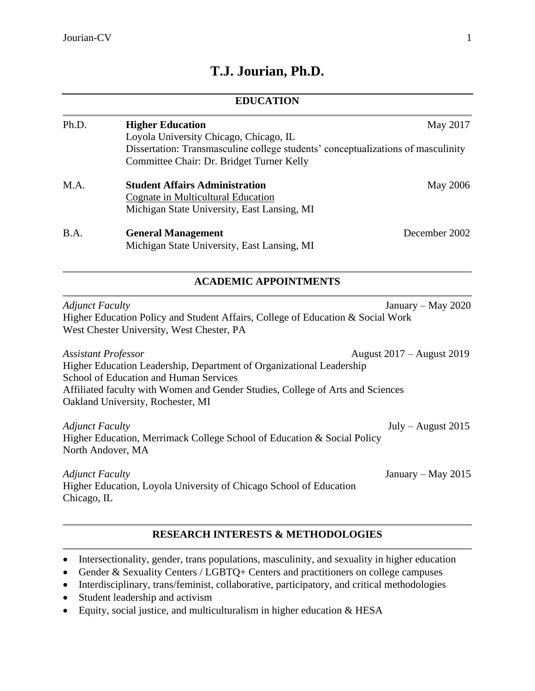# **T.J. Jourian, Ph.D.**

# **EDUCATION** Ph.D. **Higher Education** May 2017 Loyola University Chicago, Chicago, IL Dissertation: Transmasculine college students' conceptualizations of masculinity Committee Chair: Dr. Bridget Turner Kelly M.A. **Student Affairs Administration** May 2006 Cognate in Multicultural Education Michigan State University, East Lansing, MI B.A. **General Management** December 2002 Michigan State University, East Lansing, MI **ACADEMIC APPOINTMENTS** *Adjunct Faculty* January – May 2020 Higher Education Policy and Student Affairs, College of Education & Social Work West Chester University, West Chester, PA *Assistant Professor* August 2017 – August 2019 Higher Education Leadership, Department of Organizational Leadership School of Education and Human Services Affiliated faculty with Women and Gender Studies, College of Arts and Sciences Oakland University, Rochester, MI *Adjunct Faculty* July – August 2015 Higher Education, Merrimack College School of Education & Social Policy North Andover, MA *Adjunct Faculty* January – May 2015 Higher Education, Loyola University of Chicago School of Education Chicago, IL

# **RESEARCH INTERESTS & METHODOLOGIES**

- Intersectionality, gender, trans populations, masculinity, and sexuality in higher education
- Gender & Sexuality Centers / LGBTO+ Centers and practitioners on college campuses
- Interdisciplinary, trans/feminist, collaborative, participatory, and critical methodologies
- Student leadership and activism
- Equity, social justice, and multiculturalism in higher education  $& HESA$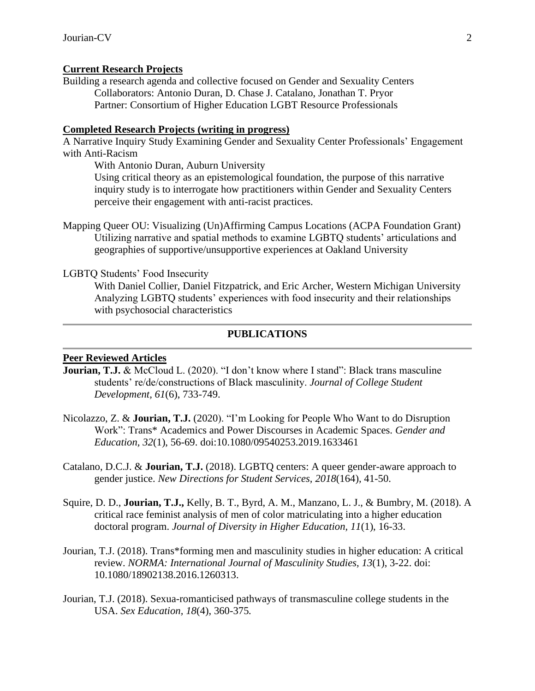### **Current Research Projects**

Building a research agenda and collective focused on Gender and Sexuality Centers Collaborators: Antonio Duran, D. Chase J. Catalano, Jonathan T. Pryor Partner: Consortium of Higher Education LGBT Resource Professionals

#### **Completed Research Projects (writing in progress)**

A Narrative Inquiry Study Examining Gender and Sexuality Center Professionals' Engagement with Anti-Racism

With Antonio Duran, Auburn University

Using critical theory as an epistemological foundation, the purpose of this narrative inquiry study is to interrogate how practitioners within Gender and Sexuality Centers perceive their engagement with anti-racist practices.

Mapping Queer OU: Visualizing (Un)Affirming Campus Locations (ACPA Foundation Grant) Utilizing narrative and spatial methods to examine LGBTQ students' articulations and geographies of supportive/unsupportive experiences at Oakland University

#### LGBTQ Students' Food Insecurity

With Daniel Collier, Daniel Fitzpatrick, and Eric Archer, Western Michigan University Analyzing LGBTQ students' experiences with food insecurity and their relationships with psychosocial characteristics

#### **PUBLICATIONS**

#### **Peer Reviewed Articles**

- **Jourian, T.J.** & McCloud L. (2020). "I don't know where I stand": Black trans masculine students' re/de/constructions of Black masculinity. *Journal of College Student Development, 61*(6), 733-749.
- Nicolazzo, Z. & **Jourian, T.J.** (2020). "I'm Looking for People Who Want to do Disruption Work": Trans\* Academics and Power Discourses in Academic Spaces. *Gender and Education, 32*(1), 56-69. doi:10.1080/09540253.2019.1633461
- Catalano, D.C.J. & **Jourian, T.J.** (2018). LGBTQ centers: A queer gender-aware approach to gender justice. *New Directions for Student Services, 2018*(164)*,* 41-50.
- Squire, D. D., **Jourian, T.J.,** Kelly, B. T., Byrd, A. M., Manzano, L. J., & Bumbry, M. (2018). A critical race feminist analysis of men of color matriculating into a higher education doctoral program. *Journal of Diversity in Higher Education, 11*(1), 16-33.
- Jourian, T.J. (2018). Trans\*forming men and masculinity studies in higher education: A critical review. *NORMA: International Journal of Masculinity Studies, 13*(1), 3-22. doi: 10.1080/18902138.2016.1260313.
- Jourian, T.J. (2018). Sexua-romanticised pathways of transmasculine college students in the USA. *Sex Education, 18*(4), 360-375*.*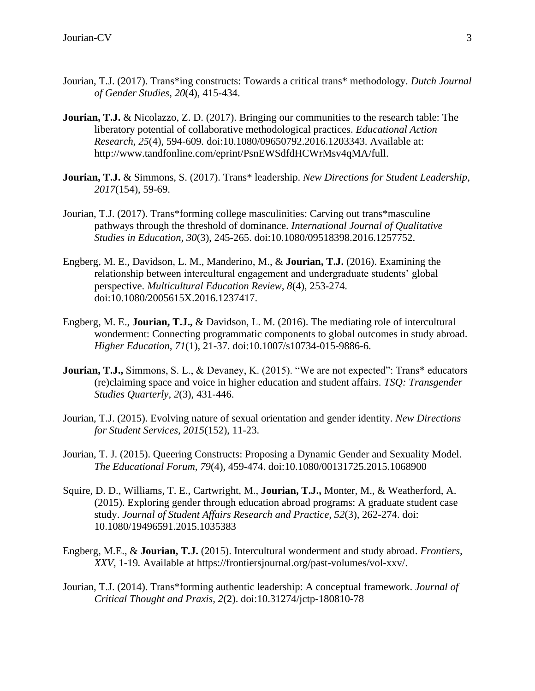- Jourian, T.J. (2017). Trans\*ing constructs: Towards a critical trans\* methodology. *Dutch Journal of Gender Studies, 20*(4), 415-434.
- **Jourian, T.J.** & Nicolazzo, Z. D. (2017). Bringing our communities to the research table: The liberatory potential of collaborative methodological practices. *Educational Action Research, 25*(4), 594-609*.* doi:10.1080/09650792.2016.1203343. Available at: http://www.tandfonline.com/eprint/PsnEWSdfdHCWrMsv4qMA/full.
- **Jourian, T.J.** & Simmons, S. (2017). Trans\* leadership. *New Directions for Student Leadership*, *2017*(154), 59-69.
- Jourian, T.J. (2017). Trans\*forming college masculinities: Carving out trans\*masculine pathways through the threshold of dominance. *International Journal of Qualitative Studies in Education, 30*(3), 245-265. doi:10.1080/09518398.2016.1257752.
- Engberg, M. E., Davidson, L. M., Manderino, M., & **Jourian, T.J.** (2016). Examining the relationship between intercultural engagement and undergraduate students' global perspective. *Multicultural Education Review, 8*(4), 253-274. doi:10.1080/2005615X.2016.1237417.
- Engberg, M. E., **Jourian, T.J.,** & Davidson, L. M. (2016). The mediating role of intercultural wonderment: Connecting programmatic components to global outcomes in study abroad. *Higher Education, 71*(1), 21-37. doi:10.1007/s10734-015-9886-6.
- **Jourian, T.J.,** Simmons, S. L., & Devaney, K. (2015). "We are not expected": Trans\* educators (re)claiming space and voice in higher education and student affairs. *TSQ: Transgender Studies Quarterly, 2*(3), 431-446.
- Jourian, T.J. (2015). Evolving nature of sexual orientation and gender identity. *New Directions for Student Services, 2015*(152), 11-23.
- Jourian, T. J. (2015). Queering Constructs: Proposing a Dynamic Gender and Sexuality Model. *The Educational Forum, 79*(4), 459-474. doi:10.1080/00131725.2015.1068900
- Squire, D. D., Williams, T. E., Cartwright, M., **Jourian, T.J.,** Monter, M., & Weatherford, A. (2015). Exploring gender through education abroad programs: A graduate student case study. *Journal of Student Affairs Research and Practice, 52*(3), 262-274. doi: 10.1080/19496591.2015.1035383
- Engberg, M.E., & **Jourian, T.J.** (2015). Intercultural wonderment and study abroad. *Frontiers, XXV,* 1-19*.* Available at https://frontiersjournal.org/past-volumes/vol-xxv/.
- Jourian, T.J. (2014). Trans\*forming authentic leadership: A conceptual framework. *Journal of Critical Thought and Praxis, 2*(2). doi:10.31274/jctp-180810-78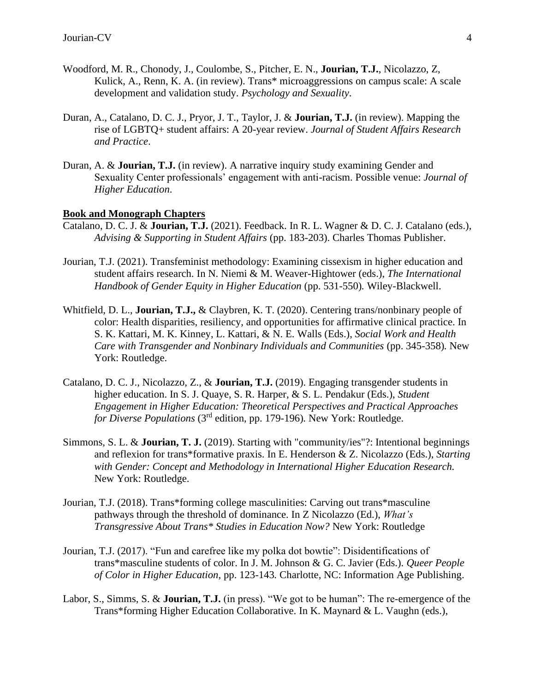- Woodford, M. R., Chonody, J., Coulombe, S., Pitcher, E. N., **Jourian, T.J.**, Nicolazzo, Z, Kulick, A., Renn, K. A. (in review). Trans\* microaggressions on campus scale: A scale development and validation study. *Psychology and Sexuality*.
- Duran, A., Catalano, D. C. J., Pryor, J. T., Taylor, J. & **Jourian, T.J.** (in review). Mapping the rise of LGBTQ+ student affairs: A 20-year review. *Journal of Student Affairs Research and Practice*.
- Duran, A. & **Jourian, T.J.** (in review). A narrative inquiry study examining Gender and Sexuality Center professionals' engagement with anti-racism. Possible venue: *Journal of Higher Education*.

### **Book and Monograph Chapters**

- Catalano, D. C. J. & **Jourian, T.J.** (2021). Feedback. In R. L. Wagner & D. C. J. Catalano (eds.), *Advising & Supporting in Student Affairs* (pp. 183-203). Charles Thomas Publisher.
- Jourian, T.J. (2021). Transfeminist methodology: Examining cissexism in higher education and student affairs research. In N. Niemi & M. Weaver-Hightower (eds.), *The International Handbook of Gender Equity in Higher Education* (pp. 531-550)*.* Wiley-Blackwell.
- Whitfield, D. L., **Jourian, T.J.,** & Claybren, K. T. (2020). Centering trans/nonbinary people of color: Health disparities, resiliency, and opportunities for affirmative clinical practice. In S. K. Kattari, M. K. Kinney, L. Kattari, & N. E. Walls (Eds.), *Social Work and Health Care with Transgender and Nonbinary Individuals and Communities* (pp. 345-358)*.* New York: Routledge.
- Catalano, D. C. J., Nicolazzo, Z., & **Jourian, T.J.** (2019). Engaging transgender students in higher education. In S. J. Quaye, S. R. Harper, & S. L. Pendakur (Eds.), *Student Engagement in Higher Education: Theoretical Perspectives and Practical Approaches for Diverse Populations* (3rd edition, pp. 179-196)*.* New York: Routledge.
- Simmons, S. L. & **Jourian, T. J.** (2019). Starting with "community/ies"?: Intentional beginnings and reflexion for trans\*formative praxis. In E. Henderson & Z. Nicolazzo (Eds.), *Starting with Gender: Concept and Methodology in International Higher Education Research.* New York: Routledge.
- Jourian, T.J. (2018). Trans\*forming college masculinities: Carving out trans\*masculine pathways through the threshold of dominance. In Z Nicolazzo (Ed.), *What's Transgressive About Trans\* Studies in Education Now?* New York: Routledge
- Jourian, T.J. (2017). "Fun and carefree like my polka dot bowtie": Disidentifications of trans\*masculine students of color. In J. M. Johnson & G. C. Javier (Eds.). *Queer People of Color in Higher Education*, pp. 123-143*.* Charlotte, NC: Information Age Publishing.
- Labor, S., Simms, S. & **Jourian, T.J.** (in press). "We got to be human": The re-emergence of the Trans\*forming Higher Education Collaborative. In K. Maynard & L. Vaughn (eds.),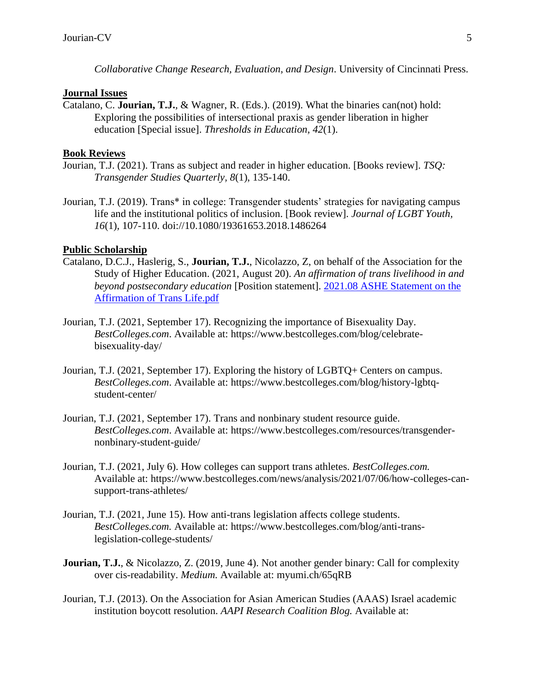*Collaborative Change Research, Evaluation, and Design*. University of Cincinnati Press.

#### **Journal Issues**

Catalano, C. **Jourian, T.J.***,* & Wagner, R. (Eds.). (2019). What the binaries can(not) hold: Exploring the possibilities of intersectional praxis as gender liberation in higher education [Special issue]. *Thresholds in Education, 42*(1).

### **Book Reviews**

- Jourian, T.J. (2021). Trans as subject and reader in higher education. [Books review]. *TSQ: Transgender Studies Quarterly, 8*(1), 135-140.
- Jourian, T.J. (2019). Trans\* in college: Transgender students' strategies for navigating campus life and the institutional politics of inclusion. [Book review]. *Journal of LGBT Youth, 16*(1), 107-110. doi://10.1080/19361653.2018.1486264

### **Public Scholarship**

- Catalano, D.C.J., Haslerig, S., **Jourian, T.J.**, Nicolazzo, Z, on behalf of the Association for the Study of Higher Education. (2021, August 20). *An affirmation of trans livelihood in and beyond postsecondary education* [Position statement]. [2021.08 ASHE Statement on the](https://www.ashe.ws/Files/Position%20Taking/2021.08%20ASHE%20Statement%20on%20the%20Affirmation%20of%20Trans%20Life.pdf)  [Affirmation of Trans Life.pdf](https://www.ashe.ws/Files/Position%20Taking/2021.08%20ASHE%20Statement%20on%20the%20Affirmation%20of%20Trans%20Life.pdf)
- Jourian, T.J. (2021, September 17). Recognizing the importance of Bisexuality Day. *BestColleges.com*. Available at: https://www.bestcolleges.com/blog/celebratebisexuality-day/
- Jourian, T.J. (2021, September 17). Exploring the history of LGBTQ+ Centers on campus. *BestColleges.com*. Available at: https://www.bestcolleges.com/blog/history-lgbtqstudent-center/
- Jourian, T.J. (2021, September 17). Trans and nonbinary student resource guide. *BestColleges.com*. Available at: https://www.bestcolleges.com/resources/transgendernonbinary-student-guide/
- Jourian, T.J. (2021, July 6). How colleges can support trans athletes. *BestColleges.com.* Available at: https://www.bestcolleges.com/news/analysis/2021/07/06/how-colleges-cansupport-trans-athletes/
- Jourian, T.J. (2021, June 15). How anti-trans legislation affects college students. *BestColleges.com.* Available at: https://www.bestcolleges.com/blog/anti-translegislation-college-students/
- **Jourian, T.J.**, & Nicolazzo, Z. (2019, June 4). Not another gender binary: Call for complexity over cis-readability. *Medium.* Available at: myumi.ch/65qRB
- Jourian, T.J. (2013). On the Association for Asian American Studies (AAAS) Israel academic institution boycott resolution. *AAPI Research Coalition Blog.* Available at: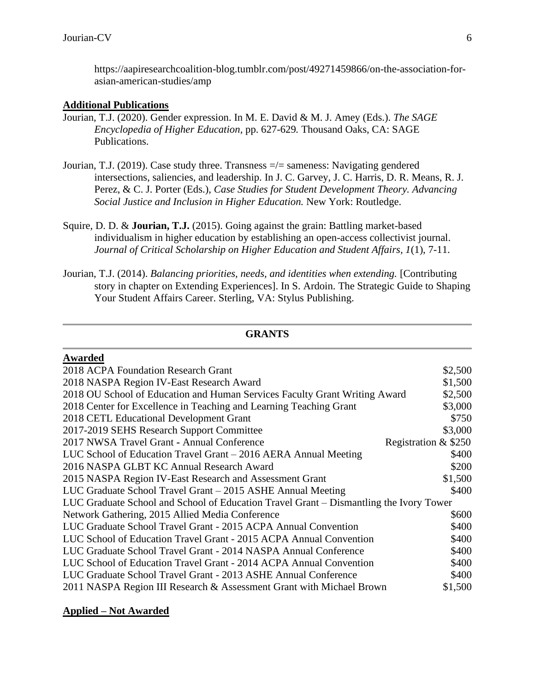https://aapiresearchcoalition-blog.tumblr.com/post/49271459866/on-the-association-forasian-american-studies/amp

# **Additional Publications**

- Jourian, T.J. (2020). Gender expression. In M. E. David & M. J. Amey (Eds.). *The SAGE Encyclopedia of Higher Education,* pp. 627-629*.* Thousand Oaks, CA: SAGE Publications.
- Jourian, T.J. (2019). Case study three. Transness =/= sameness: Navigating gendered intersections, saliencies, and leadership. In J. C. Garvey, J. C. Harris, D. R. Means, R. J. Perez, & C. J. Porter (Eds.), *Case Studies for Student Development Theory. Advancing Social Justice and Inclusion in Higher Education.* New York: Routledge.
- Squire, D. D. & **Jourian, T.J.** (2015). Going against the grain: Battling market-based individualism in higher education by establishing an open-access collectivist journal. *Journal of Critical Scholarship on Higher Education and Student Affairs, 1*(1), 7-11.
- Jourian, T.J. (2014). *Balancing priorities, needs, and identities when extending.* [Contributing story in chapter on Extending Experiences]. In S. Ardoin. The Strategic Guide to Shaping Your Student Affairs Career. Sterling, VA: Stylus Publishing.

### **GRANTS**

| <b>Awarded</b>                                                                         |                      |
|----------------------------------------------------------------------------------------|----------------------|
| 2018 ACPA Foundation Research Grant                                                    | \$2,500              |
| 2018 NASPA Region IV-East Research Award                                               | \$1,500              |
| 2018 OU School of Education and Human Services Faculty Grant Writing Award             | \$2,500              |
| 2018 Center for Excellence in Teaching and Learning Teaching Grant                     | \$3,000              |
| 2018 CETL Educational Development Grant                                                | \$750                |
| 2017-2019 SEHS Research Support Committee                                              | \$3,000              |
| 2017 NWSA Travel Grant - Annual Conference                                             | Registration & \$250 |
| LUC School of Education Travel Grant - 2016 AERA Annual Meeting                        | \$400                |
| 2016 NASPA GLBT KC Annual Research Award                                               | \$200                |
| 2015 NASPA Region IV-East Research and Assessment Grant                                | \$1,500              |
| LUC Graduate School Travel Grant – 2015 ASHE Annual Meeting                            | \$400                |
| LUC Graduate School and School of Education Travel Grant – Dismantling the Ivory Tower |                      |
| Network Gathering, 2015 Allied Media Conference                                        | \$600                |
| LUC Graduate School Travel Grant - 2015 ACPA Annual Convention                         | \$400                |
| LUC School of Education Travel Grant - 2015 ACPA Annual Convention                     | \$400                |
| LUC Graduate School Travel Grant - 2014 NASPA Annual Conference                        | \$400                |
| LUC School of Education Travel Grant - 2014 ACPA Annual Convention                     | \$400                |
| LUC Graduate School Travel Grant - 2013 ASHE Annual Conference                         | \$400                |
| 2011 NASPA Region III Research & Assessment Grant with Michael Brown                   | \$1,500              |

### **Applied – Not Awarded**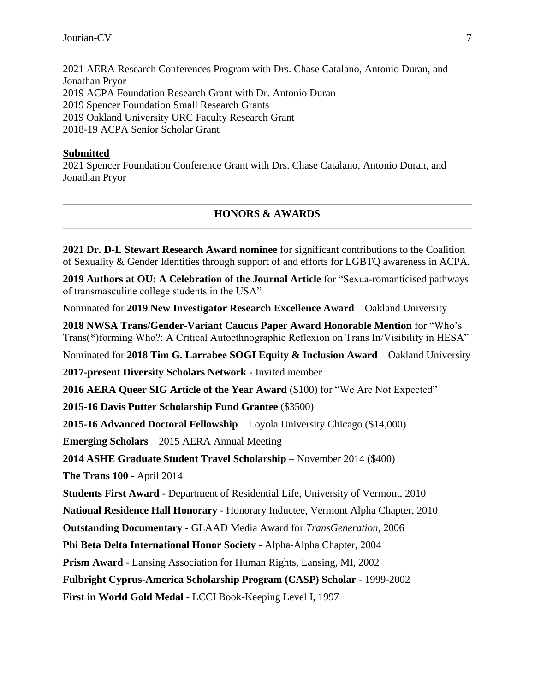2021 AERA Research Conferences Program with Drs. Chase Catalano, Antonio Duran, and Jonathan Pryor 2019 ACPA Foundation Research Grant with Dr. Antonio Duran 2019 Spencer Foundation Small Research Grants 2019 Oakland University URC Faculty Research Grant 2018-19 ACPA Senior Scholar Grant

### **Submitted**

2021 Spencer Foundation Conference Grant with Drs. Chase Catalano, Antonio Duran, and Jonathan Pryor

# **HONORS & AWARDS**

**2021 Dr. D-L Stewart Research Award nominee** for significant contributions to the Coalition of Sexuality & Gender Identities through support of and efforts for LGBTQ awareness in ACPA.

**2019 Authors at OU: A Celebration of the Journal Article** for "Sexua-romanticised pathways of transmasculine college students in the USA"

Nominated for **2019 New Investigator Research Excellence Award** – Oakland University

**2018 NWSA Trans/Gender-Variant Caucus Paper Award Honorable Mention** for "Who's Trans(\*)forming Who?: A Critical Autoethnographic Reflexion on Trans In/Visibility in HESA"

Nominated for **2018 Tim G. Larrabee SOGI Equity & Inclusion Award** – Oakland University

**2017-present Diversity Scholars Network -** Invited member

**2016 AERA Queer SIG Article of the Year Award** (\$100) for "We Are Not Expected"

**2015-16 Davis Putter Scholarship Fund Grantee** (\$3500)

**2015-16 Advanced Doctoral Fellowship** – Loyola University Chicago (\$14,000)

**Emerging Scholars** – 2015 AERA Annual Meeting

**2014 ASHE Graduate Student Travel Scholarship** – November 2014 (\$400)

**The Trans 100** - April 2014

**Students First Award** - Department of Residential Life, University of Vermont, 2010

**National Residence Hall Honorary** - Honorary Inductee, Vermont Alpha Chapter, 2010

**Outstanding Documentary** - GLAAD Media Award for *TransGeneration*, 2006

**Phi Beta Delta International Honor Society** - Alpha-Alpha Chapter, 2004

**Prism Award** - Lansing Association for Human Rights, Lansing, MI, 2002

**Fulbright Cyprus-America Scholarship Program (CASP) Scholar** - 1999-2002

**First in World Gold Medal -** LCCI Book-Keeping Level I, 1997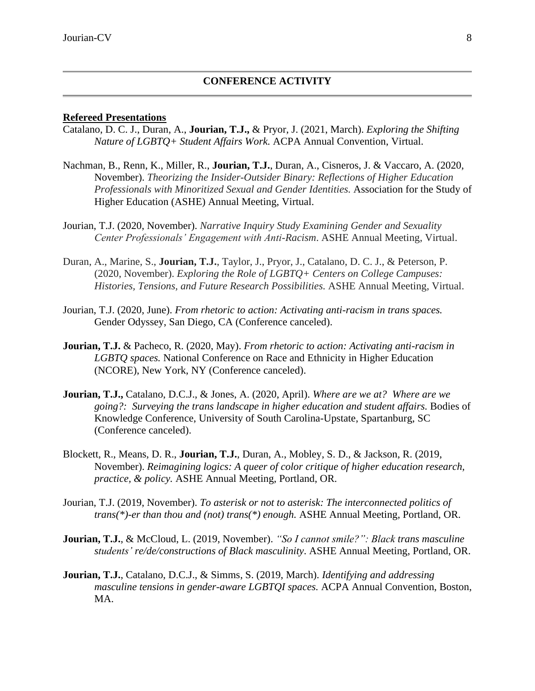#### **CONFERENCE ACTIVITY**

#### **Refereed Presentations**

- Catalano, D. C. J., Duran, A., **Jourian, T.J.,** & Pryor, J. (2021, March). *Exploring the Shifting Nature of LGBTQ+ Student Affairs Work.* ACPA Annual Convention, Virtual.
- Nachman, B., Renn, K., Miller, R., **Jourian, T.J.**, Duran, A., Cisneros, J. & Vaccaro, A. (2020, November). *Theorizing the Insider-Outsider Binary: Reflections of Higher Education Professionals with Minoritized Sexual and Gender Identities.* Association for the Study of Higher Education (ASHE) Annual Meeting, Virtual.
- Jourian, T.J. (2020, November). *Narrative Inquiry Study Examining Gender and Sexuality Center Professionals' Engagement with Anti-Racism*. ASHE Annual Meeting, Virtual.
- Duran, A., Marine, S., **Jourian, T.J.**, Taylor, J., Pryor, J., Catalano, D. C. J., & Peterson, P. (2020, November). *Exploring the Role of LGBTQ+ Centers on College Campuses: Histories, Tensions, and Future Research Possibilities.* ASHE Annual Meeting, Virtual.
- Jourian, T.J. (2020, June). *From rhetoric to action: Activating anti-racism in trans spaces.*  Gender Odyssey, San Diego, CA (Conference canceled).
- **Jourian, T.J.** & Pacheco, R. (2020, May). *From rhetoric to action: Activating anti-racism in LGBTQ spaces.* National Conference on Race and Ethnicity in Higher Education (NCORE), New York, NY (Conference canceled).
- **Jourian, T.J.,** Catalano, D.C.J., & Jones, A. (2020, April). *Where are we at? Where are we going?: Surveying the trans landscape in higher education and student affairs.* Bodies of Knowledge Conference, University of South Carolina-Upstate, Spartanburg, SC (Conference canceled).
- Blockett, R., Means, D. R., **Jourian, T.J.**, Duran, A., Mobley, S. D., & Jackson, R. (2019, November). *Reimagining logics: A queer of color critique of higher education research, practice, & policy.* ASHE Annual Meeting, Portland, OR.
- Jourian, T.J. (2019, November). *To asterisk or not to asterisk: The interconnected politics of trans(\*)-er than thou and (not) trans(\*) enough.* ASHE Annual Meeting, Portland, OR.
- **Jourian, T.J.**, & McCloud, L. (2019, November). *"So I cannot smile?": Black trans masculine students' re/de/constructions of Black masculinity*. ASHE Annual Meeting, Portland, OR.
- **Jourian, T.J.**, Catalano, D.C.J., & Simms, S. (2019, March). *Identifying and addressing masculine tensions in gender-aware LGBTQI spaces.* ACPA Annual Convention, Boston, MA.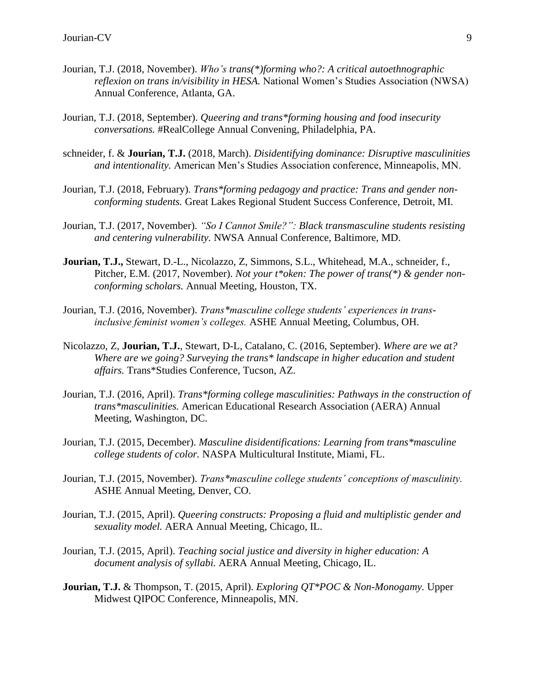- Jourian, T.J. (2018, November). *Who's trans(\*)forming who?: A critical autoethnographic reflexion on trans in/visibility in HESA.* National Women's Studies Association (NWSA) Annual Conference, Atlanta, GA.
- Jourian, T.J. (2018, September). *Queering and trans\*forming housing and food insecurity conversations.* #RealCollege Annual Convening, Philadelphia, PA.
- schneider, f. & **Jourian, T.J.** (2018, March). *Disidentifying dominance: Disruptive masculinities and intentionality.* American Men's Studies Association conference, Minneapolis, MN.
- Jourian, T.J. (2018, February). *Trans\*forming pedagogy and practice: Trans and gender nonconforming students.* Great Lakes Regional Student Success Conference, Detroit, MI.
- Jourian, T.J. (2017, November). *"So I Cannot Smile?": Black transmasculine students resisting and centering vulnerability.* NWSA Annual Conference, Baltimore, MD.
- **Jourian, T.J.,** Stewart, D.-L., Nicolazzo, Z, Simmons, S.L., Whitehead, M.A., schneider, f., Pitcher, E.M. (2017, November). *Not your t\*oken: The power of trans(\*) & gender nonconforming scholars.* Annual Meeting, Houston, TX.
- Jourian, T.J. (2016, November). *Trans\*masculine college students' experiences in transinclusive feminist women's colleges.* ASHE Annual Meeting, Columbus, OH.
- Nicolazzo, Z, **Jourian, T.J.**, Stewart, D-L, Catalano, C. (2016, September). *Where are we at? Where are we going? Surveying the trans\* landscape in higher education and student affairs.* Trans\*Studies Conference, Tucson, AZ.
- Jourian, T.J. (2016, April). *Trans\*forming college masculinities: Pathways in the construction of trans\*masculinities.* American Educational Research Association (AERA) Annual Meeting, Washington, DC.
- Jourian, T.J. (2015, December). *Masculine disidentifications: Learning from trans\*masculine college students of color.* NASPA Multicultural Institute, Miami, FL.
- Jourian, T.J. (2015, November). *Trans\*masculine college students' conceptions of masculinity.* ASHE Annual Meeting, Denver, CO.
- Jourian, T.J. (2015, April). *Queering constructs: Proposing a fluid and multiplistic gender and sexuality model.* AERA Annual Meeting, Chicago, IL.
- Jourian, T.J. (2015, April). *Teaching social justice and diversity in higher education: A document analysis of syllabi.* AERA Annual Meeting, Chicago, IL.
- **Jourian, T.J.** & Thompson, T. (2015, April). *Exploring QT\*POC & Non-Monogamy.* Upper Midwest QIPOC Conference, Minneapolis, MN.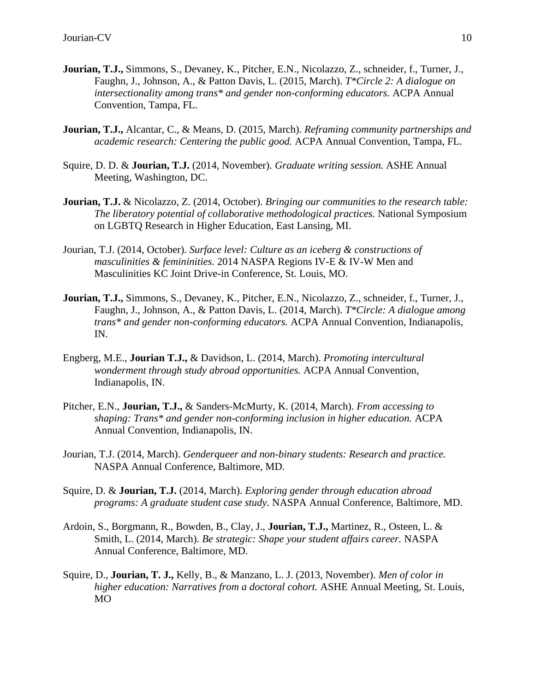- **Jourian, T.J.,** Simmons, S., Devaney, K., Pitcher, E.N., Nicolazzo, Z., schneider, f., Turner, J., Faughn, J., Johnson, A., & Patton Davis, L. (2015, March). *T\*Circle 2: A dialogue on intersectionality among trans\* and gender non-conforming educators.* ACPA Annual Convention, Tampa, FL.
- **Jourian, T.J.,** Alcantar, C., & Means, D. (2015, March). *Reframing community partnerships and academic research: Centering the public good.* ACPA Annual Convention, Tampa, FL.
- Squire, D. D. & **Jourian, T.J.** (2014, November). *Graduate writing session.* ASHE Annual Meeting, Washington, DC.
- **Jourian, T.J.** & Nicolazzo, Z. (2014, October). *Bringing our communities to the research table: The liberatory potential of collaborative methodological practices.* National Symposium on LGBTQ Research in Higher Education, East Lansing, MI.
- Jourian, T.J. (2014, October). *Surface level: Culture as an iceberg & constructions of masculinities & femininities.* 2014 NASPA Regions IV-E & IV-W Men and Masculinities KC Joint Drive-in Conference, St. Louis, MO.
- **Jourian, T.J.,** Simmons, S., Devaney, K., Pitcher, E.N., Nicolazzo, Z., schneider, f., Turner, J., Faughn, J., Johnson, A., & Patton Davis, L. (2014, March). *T\*Circle: A dialogue among trans\* and gender non-conforming educators.* ACPA Annual Convention, Indianapolis, IN.
- Engberg, M.E., **Jourian T.J.,** & Davidson, L. (2014, March). *Promoting intercultural wonderment through study abroad opportunities.* ACPA Annual Convention, Indianapolis, IN.
- Pitcher, E.N., **Jourian, T.J.,** & Sanders-McMurty, K. (2014, March). *From accessing to shaping: Trans\* and gender non-conforming inclusion in higher education.* ACPA Annual Convention, Indianapolis, IN.
- Jourian, T.J. (2014, March). *Genderqueer and non-binary students: Research and practice.*  NASPA Annual Conference, Baltimore, MD.
- Squire, D. & **Jourian, T.J.** (2014, March). *Exploring gender through education abroad programs: A graduate student case study.* NASPA Annual Conference, Baltimore, MD.
- Ardoin, S., Borgmann, R., Bowden, B., Clay, J., **Jourian, T.J.,** Martinez, R., Osteen, L. & Smith, L. (2014, March). *Be strategic: Shape your student affairs career.* NASPA Annual Conference, Baltimore, MD.
- Squire, D., **Jourian, T. J.,** Kelly, B., & Manzano, L. J. (2013, November). *Men of color in higher education: Narratives from a doctoral cohort.* ASHE Annual Meeting, St. Louis, MO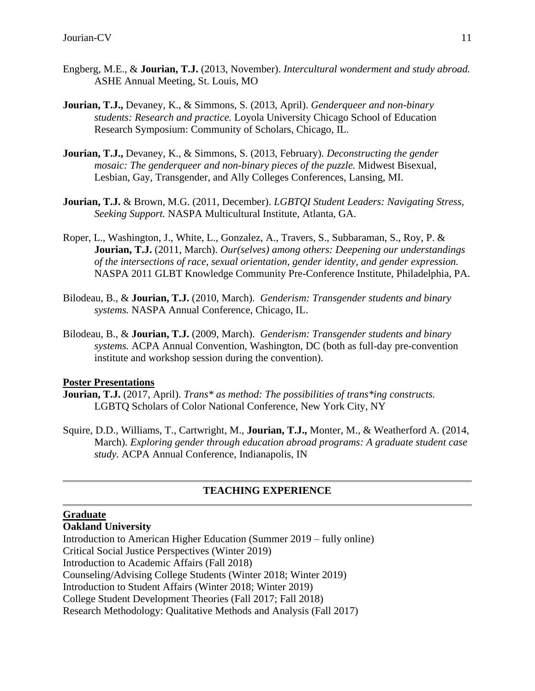- Engberg, M.E., & **Jourian, T.J.** (2013, November). *Intercultural wonderment and study abroad.*  ASHE Annual Meeting, St. Louis, MO
- **Jourian, T.J.,** Devaney, K., & Simmons, S. (2013, April). *Genderqueer and non-binary students: Research and practice.* Loyola University Chicago School of Education Research Symposium: Community of Scholars, Chicago, IL.
- **Jourian, T.J.,** Devaney, K., & Simmons, S. (2013, February). *Deconstructing the gender mosaic: The genderqueer and non-binary pieces of the puzzle.* Midwest Bisexual, Lesbian, Gay, Transgender, and Ally Colleges Conferences, Lansing, MI.
- **Jourian, T.J.** & Brown, M.G. (2011, December). *LGBTQI Student Leaders: Navigating Stress, Seeking Support.* NASPA Multicultural Institute, Atlanta, GA.
- Roper, L., Washington, J., White, L., Gonzalez, A., Travers, S., Subbaraman, S., Roy, P. & **Jourian, T.J.** (2011, March). *Our(selves) among others: Deepening our understandings of the intersections of race, sexual orientation, gender identity, and gender expression.* NASPA 2011 GLBT Knowledge Community Pre-Conference Institute, Philadelphia, PA.
- Bilodeau, B., & **Jourian, T.J.** (2010, March). *Genderism: Transgender students and binary systems.* NASPA Annual Conference, Chicago, IL.
- Bilodeau, B., & **Jourian, T.J.** (2009, March). *Genderism: Transgender students and binary systems.* ACPA Annual Convention, Washington, DC (both as full-day pre-convention institute and workshop session during the convention).

### **Poster Presentations**

- **Jourian, T.J.** (2017, April). *Trans\* as method: The possibilities of trans\*ing constructs.*  LGBTQ Scholars of Color National Conference, New York City, NY
- Squire, D.D., Williams, T., Cartwright, M., **Jourian, T.J.,** Monter, M., & Weatherford A. (2014, March). *Exploring gender through education abroad programs: A graduate student case study.* ACPA Annual Conference, Indianapolis, IN

# **TEACHING EXPERIENCE**

# **Graduate**

**Oakland University**

Introduction to American Higher Education (Summer 2019 – fully online) Critical Social Justice Perspectives (Winter 2019) Introduction to Academic Affairs (Fall 2018) Counseling/Advising College Students (Winter 2018; Winter 2019) Introduction to Student Affairs (Winter 2018; Winter 2019) College Student Development Theories (Fall 2017; Fall 2018) Research Methodology: Qualitative Methods and Analysis (Fall 2017)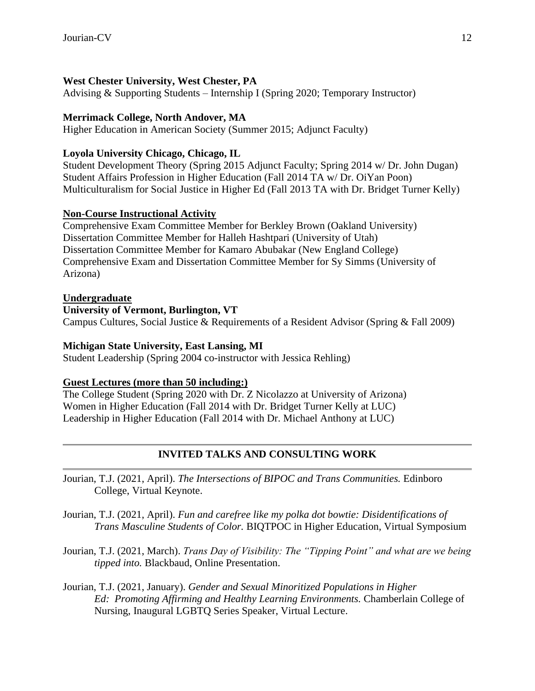# **West Chester University, West Chester, PA**

Advising & Supporting Students – Internship I (Spring 2020; Temporary Instructor)

### **Merrimack College, North Andover, MA**

Higher Education in American Society (Summer 2015; Adjunct Faculty)

### **Loyola University Chicago, Chicago, IL**

Student Development Theory (Spring 2015 Adjunct Faculty; Spring 2014 w/ Dr. John Dugan) Student Affairs Profession in Higher Education (Fall 2014 TA w/ Dr. OiYan Poon) Multiculturalism for Social Justice in Higher Ed (Fall 2013 TA with Dr. Bridget Turner Kelly)

### **Non-Course Instructional Activity**

Comprehensive Exam Committee Member for Berkley Brown (Oakland University) Dissertation Committee Member for Halleh Hashtpari (University of Utah) Dissertation Committee Member for Kamaro Abubakar (New England College) Comprehensive Exam and Dissertation Committee Member for Sy Simms (University of Arizona)

### **Undergraduate**

### **University of Vermont, Burlington, VT**

Campus Cultures, Social Justice & Requirements of a Resident Advisor (Spring & Fall 2009)

### **Michigan State University, East Lansing, MI**

Student Leadership (Spring 2004 co-instructor with Jessica Rehling)

### **Guest Lectures (more than 50 including:)**

The College Student (Spring 2020 with Dr. Z Nicolazzo at University of Arizona) Women in Higher Education (Fall 2014 with Dr. Bridget Turner Kelly at LUC) Leadership in Higher Education (Fall 2014 with Dr. Michael Anthony at LUC)

# **INVITED TALKS AND CONSULTING WORK**

- Jourian, T.J. (2021, April). *The Intersections of BIPOC and Trans Communities.* Edinboro College, Virtual Keynote.
- Jourian, T.J. (2021, April). *Fun and carefree like my polka dot bowtie: Disidentifications of Trans Masculine Students of Color.* BIQTPOC in Higher Education, Virtual Symposium
- Jourian, T.J. (2021, March). *Trans Day of Visibility: The "Tipping Point" and what are we being tipped into.* Blackbaud, Online Presentation.
- Jourian, T.J. (2021, January). *Gender and Sexual Minoritized Populations in Higher Ed: Promoting Affirming and Healthy Learning Environments.* Chamberlain College of Nursing, Inaugural LGBTQ Series Speaker, Virtual Lecture.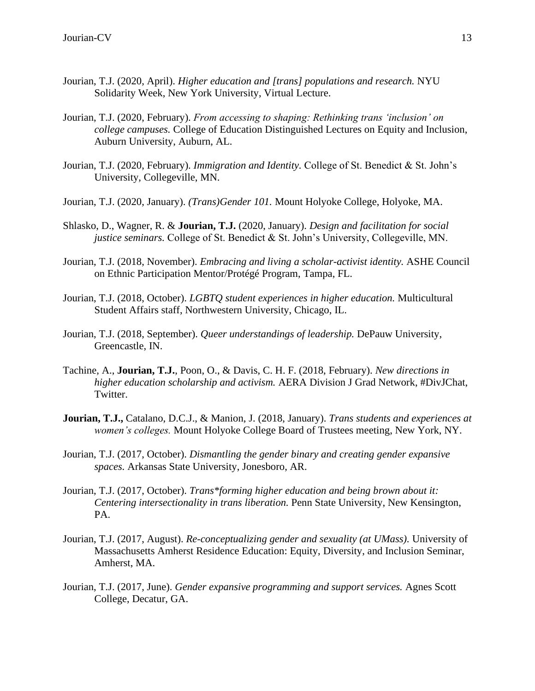- Jourian, T.J. (2020, April). *Higher education and [trans] populations and research.* NYU Solidarity Week, New York University, Virtual Lecture.
- Jourian, T.J. (2020, February). *From accessing to shaping: Rethinking trans 'inclusion' on college campuses.* College of Education Distinguished Lectures on Equity and Inclusion, Auburn University, Auburn, AL.
- Jourian, T.J. (2020, February). *Immigration and Identity.* College of St. Benedict & St. John's University, Collegeville, MN.
- Jourian, T.J. (2020, January). *(Trans)Gender 101.* Mount Holyoke College, Holyoke, MA.
- Shlasko, D., Wagner, R. & **Jourian, T.J.** (2020, January). *Design and facilitation for social justice seminars.* College of St. Benedict & St. John's University, Collegeville, MN.
- Jourian, T.J. (2018, November). *Embracing and living a scholar-activist identity.* ASHE Council on Ethnic Participation Mentor/Protégé Program, Tampa, FL.
- Jourian, T.J. (2018, October). *LGBTQ student experiences in higher education.* Multicultural Student Affairs staff, Northwestern University, Chicago, IL.
- Jourian, T.J. (2018, September). *Queer understandings of leadership.* DePauw University, Greencastle, IN.
- Tachine, A., **Jourian, T.J.**, Poon, O., & Davis, C. H. F. (2018, February). *New directions in higher education scholarship and activism.* AERA Division J Grad Network, #DivJChat, Twitter.
- **Jourian, T.J.,** Catalano, D.C.J., & Manion, J. (2018, January). *Trans students and experiences at women's colleges.* Mount Holyoke College Board of Trustees meeting, New York, NY.
- Jourian, T.J. (2017, October). *Dismantling the gender binary and creating gender expansive spaces.* Arkansas State University, Jonesboro, AR.
- Jourian, T.J. (2017, October). *Trans\*forming higher education and being brown about it: Centering intersectionality in trans liberation.* Penn State University, New Kensington, PA.
- Jourian, T.J. (2017, August). *Re-conceptualizing gender and sexuality (at UMass).* University of Massachusetts Amherst Residence Education: Equity, Diversity, and Inclusion Seminar, Amherst, MA.
- Jourian, T.J. (2017, June). *Gender expansive programming and support services.* Agnes Scott College, Decatur, GA.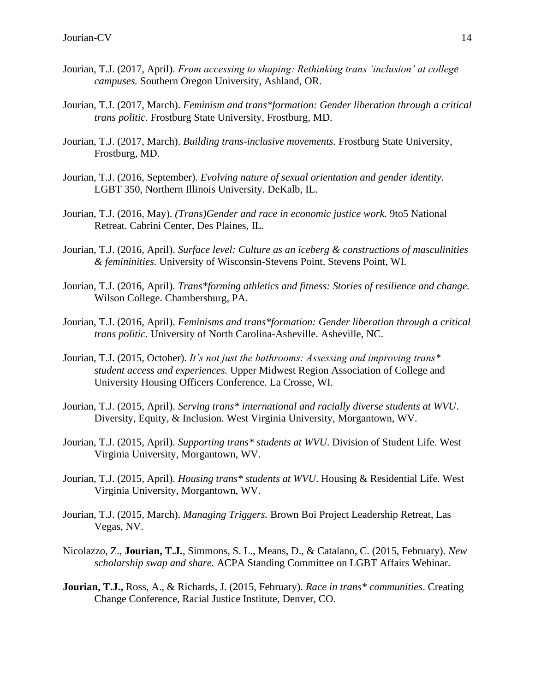- Jourian, T.J. (2017, April). *From accessing to shaping: Rethinking trans 'inclusion' at college campuses.* Southern Oregon University, Ashland, OR.
- Jourian, T.J. (2017, March). *Feminism and trans\*formation: Gender liberation through a critical trans politic.* Frostburg State University, Frostburg, MD.
- Jourian, T.J. (2017, March). *Building trans-inclusive movements.* Frostburg State University, Frostburg, MD.
- Jourian, T.J. (2016, September). *Evolving nature of sexual orientation and gender identity.*  LGBT 350, Northern Illinois University. DeKalb, IL.
- Jourian, T.J. (2016, May). *(Trans)Gender and race in economic justice work.* 9to5 National Retreat. Cabrini Center, Des Plaines, IL.
- Jourian, T.J. (2016, April). *Surface level: Culture as an iceberg & constructions of masculinities & femininities.* University of Wisconsin-Stevens Point. Stevens Point, WI.
- Jourian, T.J. (2016, April). *Trans\*forming athletics and fitness: Stories of resilience and change.*  Wilson College. Chambersburg, PA.
- Jourian, T.J. (2016, April). *Feminisms and trans\*formation: Gender liberation through a critical trans politic.* University of North Carolina-Asheville. Asheville, NC.
- Jourian, T.J. (2015, October). *It's not just the bathrooms: Assessing and improving trans\* student access and experiences.* Upper Midwest Region Association of College and University Housing Officers Conference. La Crosse, WI.
- Jourian, T.J. (2015, April). *Serving trans\* international and racially diverse students at WVU*. Diversity, Equity, & Inclusion. West Virginia University, Morgantown, WV.
- Jourian, T.J. (2015, April). *Supporting trans\* students at WVU*. Division of Student Life. West Virginia University, Morgantown, WV.
- Jourian, T.J. (2015, April). *Housing trans\* students at WVU*. Housing & Residential Life. West Virginia University, Morgantown, WV.
- Jourian, T.J. (2015, March). *Managing Triggers.* Brown Boi Project Leadership Retreat, Las Vegas, NV.
- Nicolazzo, Z., **Jourian, T.J.**, Simmons, S. L., Means, D., & Catalano, C. (2015, February). *New scholarship swap and share.* ACPA Standing Committee on LGBT Affairs Webinar.
- **Jourian, T.J.,** Ross, A., & Richards, J. (2015, February). *Race in trans\* communities*. Creating Change Conference, Racial Justice Institute, Denver, CO.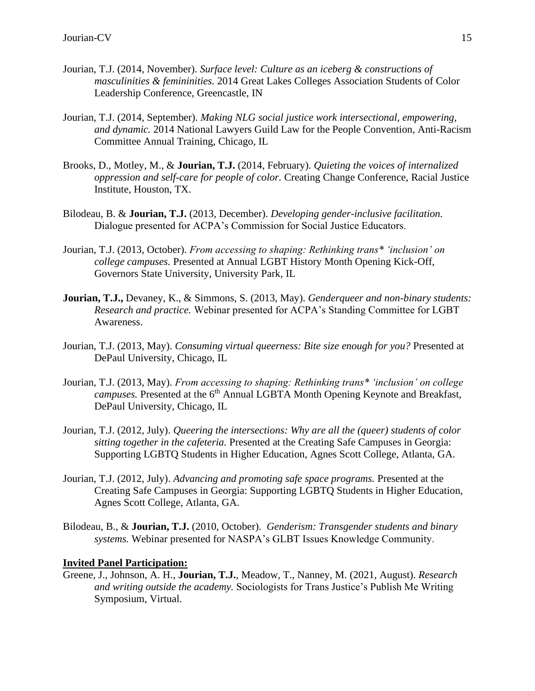- Jourian, T.J. (2014, November). *Surface level: Culture as an iceberg & constructions of masculinities & femininities.* 2014 Great Lakes Colleges Association Students of Color Leadership Conference, Greencastle, IN
- Jourian, T.J. (2014, September). *Making NLG social justice work intersectional, empowering, and dynamic.* 2014 National Lawyers Guild Law for the People Convention, Anti-Racism Committee Annual Training, Chicago, IL
- Brooks, D., Motley, M., & **Jourian, T.J.** (2014, February). *Quieting the voices of internalized oppression and self-care for people of color.* Creating Change Conference, Racial Justice Institute, Houston, TX.
- Bilodeau, B. & **Jourian, T.J.** (2013, December). *Developing gender-inclusive facilitation.* Dialogue presented for ACPA's Commission for Social Justice Educators.
- Jourian, T.J. (2013, October). *From accessing to shaping: Rethinking trans\* 'inclusion' on college campuses.* Presented at Annual LGBT History Month Opening Kick-Off, Governors State University, University Park, IL
- **Jourian, T.J.,** Devaney, K., & Simmons, S. (2013, May). *Genderqueer and non-binary students: Research and practice.* Webinar presented for ACPA's Standing Committee for LGBT Awareness.
- Jourian, T.J. (2013, May). *Consuming virtual queerness: Bite size enough for you?* Presented at DePaul University, Chicago, IL
- Jourian, T.J. (2013, May). *From accessing to shaping: Rethinking trans\* 'inclusion' on college campuses.* Presented at the 6<sup>th</sup> Annual LGBTA Month Opening Keynote and Breakfast, DePaul University, Chicago, IL
- Jourian, T.J. (2012, July). *Queering the intersections: Why are all the (queer) students of color sitting together in the cafeteria.* Presented at the Creating Safe Campuses in Georgia: Supporting LGBTQ Students in Higher Education, Agnes Scott College, Atlanta, GA.
- Jourian, T.J. (2012, July). *Advancing and promoting safe space programs.* Presented at the Creating Safe Campuses in Georgia: Supporting LGBTQ Students in Higher Education, Agnes Scott College, Atlanta, GA.
- Bilodeau, B., & **Jourian, T.J.** (2010, October). *Genderism: Transgender students and binary systems.* Webinar presented for NASPA's GLBT Issues Knowledge Community.

### **Invited Panel Participation:**

Greene, J., Johnson, A. H., **Jourian, T.J.**, Meadow, T., Nanney, M. (2021, August). *Research and writing outside the academy.* Sociologists for Trans Justice's Publish Me Writing Symposium, Virtual.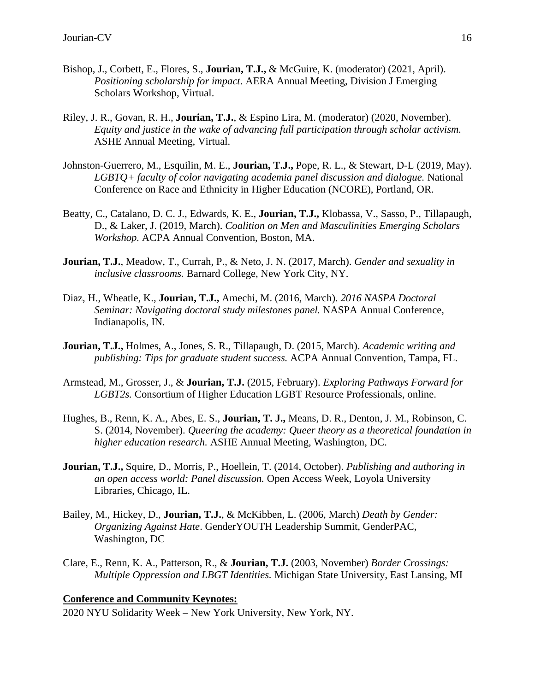- Bishop, J., Corbett, E., Flores, S., **Jourian, T.J.,** & McGuire, K. (moderator) (2021, April). *Positioning scholarship for impact*. AERA Annual Meeting, Division J Emerging Scholars Workshop, Virtual.
- Riley, J. R., Govan, R. H., **Jourian, T.J.**, & Espino Lira, M. (moderator) (2020, November). *Equity and justice in the wake of advancing full participation through scholar activism.*  ASHE Annual Meeting, Virtual.
- Johnston-Guerrero, M., Esquilin, M. E., **Jourian, T.J.,** Pope, R. L., & Stewart, D-L (2019, May). *LGBTQ+ faculty of color navigating academia panel discussion and dialogue.* National Conference on Race and Ethnicity in Higher Education (NCORE), Portland, OR.
- Beatty, C., Catalano, D. C. J., Edwards, K. E., **Jourian, T.J.,** Klobassa, V., Sasso, P., Tillapaugh, D., & Laker, J. (2019, March). *Coalition on Men and Masculinities Emerging Scholars Workshop.* ACPA Annual Convention, Boston, MA.
- **Jourian, T.J.**, Meadow, T., Currah, P., & Neto, J. N. (2017, March). *Gender and sexuality in inclusive classrooms.* Barnard College, New York City, NY.
- Diaz, H., Wheatle, K., **Jourian, T.J.,** Amechi, M. (2016, March). *2016 NASPA Doctoral Seminar: Navigating doctoral study milestones panel.* NASPA Annual Conference, Indianapolis, IN.
- **Jourian, T.J.,** Holmes, A., Jones, S. R., Tillapaugh, D. (2015, March). *Academic writing and publishing: Tips for graduate student success.* ACPA Annual Convention, Tampa, FL.
- Armstead, M., Grosser, J., & **Jourian, T.J.** (2015, February). *Exploring Pathways Forward for LGBT2s.* Consortium of Higher Education LGBT Resource Professionals, online.
- Hughes, B., Renn, K. A., Abes, E. S., **Jourian, T. J.,** Means, D. R., Denton, J. M., Robinson, C. S. (2014, November). *Queering the academy: Queer theory as a theoretical foundation in higher education research.* ASHE Annual Meeting, Washington, DC.
- **Jourian, T.J.,** Squire, D., Morris, P., Hoellein, T. (2014, October). *Publishing and authoring in an open access world: Panel discussion.* Open Access Week, Loyola University Libraries, Chicago, IL.
- Bailey, M., Hickey, D., **Jourian, T.J.**, & McKibben, L. (2006, March) *Death by Gender: Organizing Against Hate*. GenderYOUTH Leadership Summit, GenderPAC, Washington, DC
- Clare, E., Renn, K. A., Patterson, R., & **Jourian, T.J.** (2003, November) *Border Crossings: Multiple Oppression and LBGT Identities.* Michigan State University, East Lansing, MI

### **Conference and Community Keynotes:**

2020 NYU Solidarity Week – New York University, New York, NY.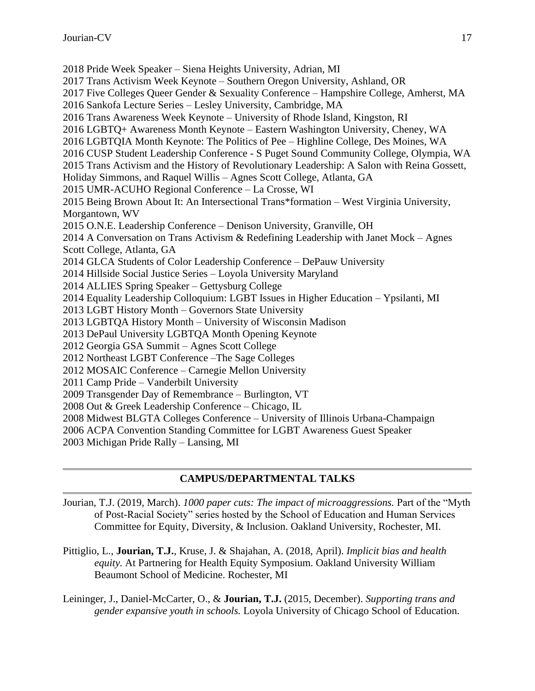2018 Pride Week Speaker – Siena Heights University, Adrian, MI 2017 Trans Activism Week Keynote – Southern Oregon University, Ashland, OR 2017 Five Colleges Queer Gender & Sexuality Conference – Hampshire College, Amherst, MA 2016 Sankofa Lecture Series – Lesley University, Cambridge, MA 2016 Trans Awareness Week Keynote – University of Rhode Island, Kingston, RI 2016 LGBTQ+ Awareness Month Keynote – Eastern Washington University, Cheney, WA 2016 LGBTQIA Month Keynote: The Politics of Pee – Highline College, Des Moines, WA 2016 CUSP Student Leadership Conference - S Puget Sound Community College, Olympia, WA 2015 Trans Activism and the History of Revolutionary Leadership: A Salon with Reina Gossett, Holiday Simmons, and Raquel Willis – Agnes Scott College, Atlanta, GA 2015 UMR-ACUHO Regional Conference – La Crosse, WI 2015 Being Brown About It: An Intersectional Trans\*formation – West Virginia University, Morgantown, WV 2015 O.N.E. Leadership Conference – Denison University, Granville, OH 2014 A Conversation on Trans Activism & Redefining Leadership with Janet Mock – Agnes Scott College, Atlanta, GA 2014 GLCA Students of Color Leadership Conference – DePauw University 2014 Hillside Social Justice Series – Loyola University Maryland 2014 ALLIES Spring Speaker – Gettysburg College 2014 Equality Leadership Colloquium: LGBT Issues in Higher Education – Ypsilanti, MI 2013 LGBT History Month – Governors State University 2013 LGBTQA History Month – University of Wisconsin Madison 2013 DePaul University LGBTQA Month Opening Keynote 2012 Georgia GSA Summit – Agnes Scott College 2012 Northeast LGBT Conference –The Sage Colleges 2012 MOSAIC Conference – Carnegie Mellon University 2011 Camp Pride – Vanderbilt University 2009 Transgender Day of Remembrance – Burlington, VT 2008 Out & Greek Leadership Conference – Chicago, IL 2008 Midwest BLGTA Colleges Conference – University of Illinois Urbana-Champaign 2006 ACPA Convention Standing Committee for LGBT Awareness Guest Speaker 2003 Michigan Pride Rally – Lansing, MI

# **CAMPUS/DEPARTMENTAL TALKS**

Jourian, T.J. (2019, March). *1000 paper cuts: The impact of microaggressions.* Part of the "Myth of Post-Racial Society" series hosted by the School of Education and Human Services Committee for Equity, Diversity, & Inclusion. Oakland University, Rochester, MI.

Pittiglio, L., **Jourian, T.J.**, Kruse, J. & Shajahan, A. (2018, April). *Implicit bias and health equity.* At Partnering for Health Equity Symposium. Oakland University William Beaumont School of Medicine. Rochester, MI

Leininger, J., Daniel-McCarter, O., & **Jourian, T.J.** (2015, December). *Supporting trans and gender expansive youth in schools.* Loyola University of Chicago School of Education.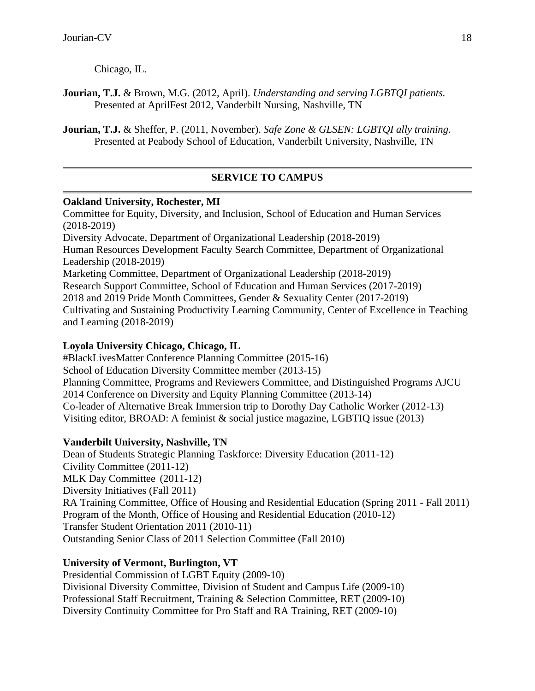Chicago, IL.

**Jourian, T.J.** & Brown, M.G. (2012, April). *Understanding and serving LGBTQI patients.* Presented at AprilFest 2012, Vanderbilt Nursing, Nashville, TN

**Jourian, T.J.** & Sheffer, P. (2011, November). *Safe Zone & GLSEN: LGBTQI ally training.* Presented at Peabody School of Education, Vanderbilt University, Nashville, TN

# **SERVICE TO CAMPUS**

# **Oakland University, Rochester, MI**

Committee for Equity, Diversity, and Inclusion, School of Education and Human Services (2018-2019) Diversity Advocate, Department of Organizational Leadership (2018-2019) Human Resources Development Faculty Search Committee, Department of Organizational Leadership (2018-2019) Marketing Committee, Department of Organizational Leadership (2018-2019) Research Support Committee, School of Education and Human Services (2017-2019) 2018 and 2019 Pride Month Committees, Gender & Sexuality Center (2017-2019) Cultivating and Sustaining Productivity Learning Community, Center of Excellence in Teaching and Learning (2018-2019)

# **Loyola University Chicago, Chicago, IL**

#BlackLivesMatter Conference Planning Committee (2015-16) School of Education Diversity Committee member (2013-15) Planning Committee, Programs and Reviewers Committee, and Distinguished Programs AJCU 2014 Conference on Diversity and Equity Planning Committee (2013-14) Co-leader of Alternative Break Immersion trip to Dorothy Day Catholic Worker (2012-13) Visiting editor, BROAD: A feminist & social justice magazine, LGBTIQ issue (2013)

# **Vanderbilt University, Nashville, TN**

Dean of Students Strategic Planning Taskforce: Diversity Education (2011-12) Civility Committee (2011-12) MLK Day Committee (2011-12) Diversity Initiatives (Fall 2011) RA Training Committee, Office of Housing and Residential Education (Spring 2011 - Fall 2011) Program of the Month, Office of Housing and Residential Education (2010-12) Transfer Student Orientation 2011 (2010-11) Outstanding Senior Class of 2011 Selection Committee (Fall 2010)

# **University of Vermont, Burlington, VT**

Presidential Commission of LGBT Equity (2009-10) Divisional Diversity Committee, Division of Student and Campus Life (2009-10) Professional Staff Recruitment, Training & Selection Committee, RET (2009-10) Diversity Continuity Committee for Pro Staff and RA Training, RET (2009-10)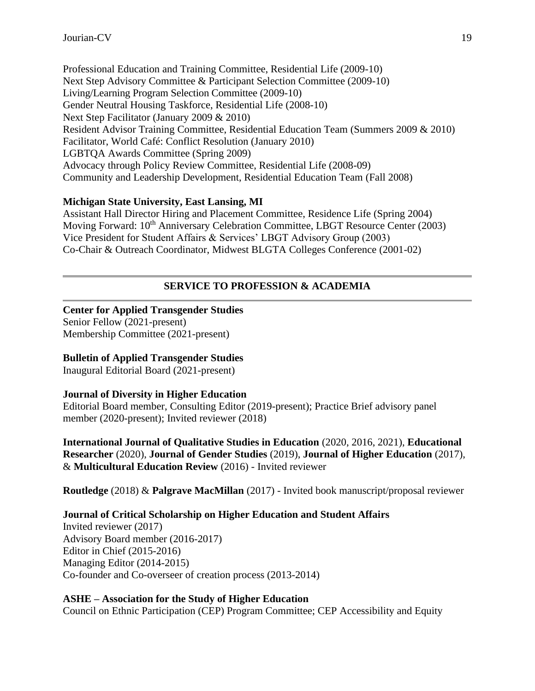Professional Education and Training Committee, Residential Life (2009-10) Next Step Advisory Committee & Participant Selection Committee (2009-10) Living/Learning Program Selection Committee (2009-10) Gender Neutral Housing Taskforce, Residential Life (2008-10) Next Step Facilitator (January 2009 & 2010) Resident Advisor Training Committee, Residential Education Team (Summers 2009 & 2010) Facilitator, World Café: Conflict Resolution (January 2010) LGBTQA Awards Committee (Spring 2009) Advocacy through Policy Review Committee, Residential Life (2008-09) Community and Leadership Development, Residential Education Team (Fall 2008)

### **Michigan State University, East Lansing, MI**

Assistant Hall Director Hiring and Placement Committee, Residence Life (Spring 2004) Moving Forward: 10<sup>th</sup> Anniversary Celebration Committee, LBGT Resource Center (2003) Vice President for Student Affairs & Services' LBGT Advisory Group (2003) Co-Chair & Outreach Coordinator, Midwest BLGTA Colleges Conference (2001-02)

# **SERVICE TO PROFESSION & ACADEMIA**

### **Center for Applied Transgender Studies**

Senior Fellow (2021-present) Membership Committee (2021-present)

# **Bulletin of Applied Transgender Studies**

Inaugural Editorial Board (2021-present)

# **Journal of Diversity in Higher Education**

Editorial Board member, Consulting Editor (2019-present); Practice Brief advisory panel member (2020-present); Invited reviewer (2018)

**International Journal of Qualitative Studies in Education** (2020, 2016, 2021), **Educational Researcher** (2020), **Journal of Gender Studies** (2019), **Journal of Higher Education** (2017), & **Multicultural Education Review** (2016) - Invited reviewer

**Routledge** (2018) & **Palgrave MacMillan** (2017) - Invited book manuscript/proposal reviewer

# **Journal of Critical Scholarship on Higher Education and Student Affairs**

Invited reviewer (2017) Advisory Board member (2016-2017) Editor in Chief (2015-2016) Managing Editor (2014-2015) Co-founder and Co-overseer of creation process (2013-2014)

### **ASHE – Association for the Study of Higher Education**

Council on Ethnic Participation (CEP) Program Committee; CEP Accessibility and Equity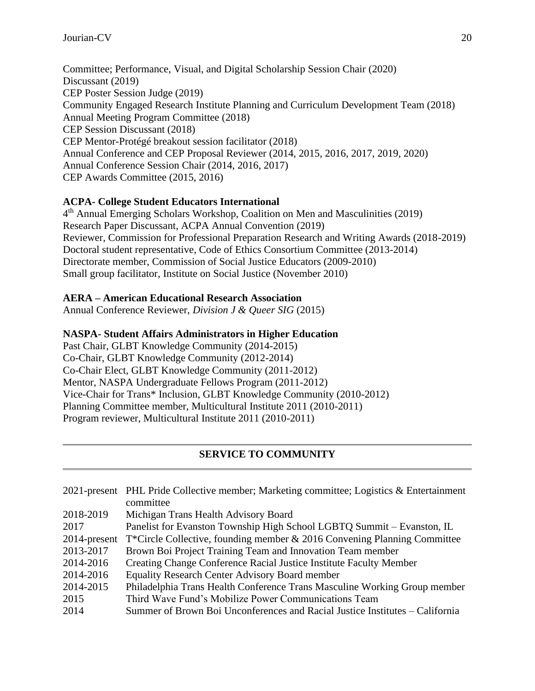Committee; Performance, Visual, and Digital Scholarship Session Chair (2020) Discussant (2019) CEP Poster Session Judge (2019) Community Engaged Research Institute Planning and Curriculum Development Team (2018) Annual Meeting Program Committee (2018) CEP Session Discussant (2018) CEP Mentor-Protégé breakout session facilitator (2018) Annual Conference and CEP Proposal Reviewer (2014, 2015, 2016, 2017, 2019, 2020) Annual Conference Session Chair (2014, 2016, 2017) CEP Awards Committee (2015, 2016)

# **ACPA- College Student Educators International**

4<sup>th</sup> Annual Emerging Scholars Workshop, Coalition on Men and Masculinities (2019) Research Paper Discussant, ACPA Annual Convention (2019) Reviewer, Commission for Professional Preparation Research and Writing Awards (2018-2019) Doctoral student representative, Code of Ethics Consortium Committee (2013-2014) Directorate member, Commission of Social Justice Educators (2009-2010) Small group facilitator, Institute on Social Justice (November 2010)

# **AERA – American Educational Research Association**

Annual Conference Reviewer, *Division J & Queer SIG* (2015)

# **NASPA- Student Affairs Administrators in Higher Education**

Past Chair, GLBT Knowledge Community (2014-2015) Co-Chair, GLBT Knowledge Community (2012-2014) Co-Chair Elect, GLBT Knowledge Community (2011-2012) Mentor, NASPA Undergraduate Fellows Program (2011-2012) Vice-Chair for Trans\* Inclusion, GLBT Knowledge Community (2010-2012) Planning Committee member, Multicultural Institute 2011 (2010-2011) Program reviewer, Multicultural Institute 2011 (2010-2011)

# **SERVICE TO COMMUNITY**

|                 | 2021-present PHL Pride Collective member; Marketing committee; Logistics & Entertainment<br>committee |
|-----------------|-------------------------------------------------------------------------------------------------------|
| 2018-2019       | Michigan Trans Health Advisory Board                                                                  |
| 2017            | Panelist for Evanston Township High School LGBTQ Summit – Evanston, IL                                |
| $2014$ -present | T*Circle Collective, founding member & 2016 Convening Planning Committee                              |
| 2013-2017       | Brown Boi Project Training Team and Innovation Team member                                            |
| 2014-2016       | Creating Change Conference Racial Justice Institute Faculty Member                                    |
| 2014-2016       | <b>Equality Research Center Advisory Board member</b>                                                 |
| 2014-2015       | Philadelphia Trans Health Conference Trans Masculine Working Group member                             |
| 2015            | Third Wave Fund's Mobilize Power Communications Team                                                  |
| 2014            | Summer of Brown Boi Unconferences and Racial Justice Institutes – California                          |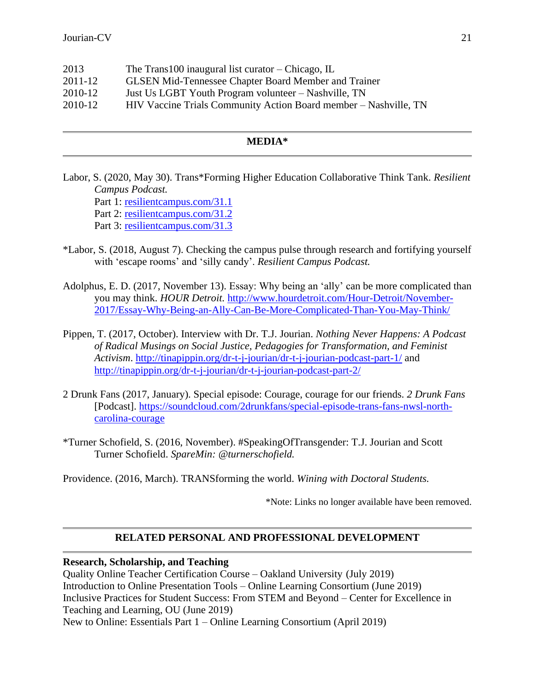| 2013        | The Trans 100 inaugural list curator – Chicago, IL               |
|-------------|------------------------------------------------------------------|
| $2011 - 12$ | <b>GLSEN Mid-Tennessee Chapter Board Member and Trainer</b>      |
| 2010-12     | Just Us LGBT Youth Program volunteer – Nashville, TN             |
| 2010-12     | HIV Vaccine Trials Community Action Board member – Nashville, TN |
|             |                                                                  |

#### **MEDIA\***

Labor, S. (2020, May 30). Trans\*Forming Higher Education Collaborative Think Tank. *Resilient Campus Podcast.* Part 1: [resilientcampus.com/31.1](http://resilientcampus.com/31.1)

Part 2: [resilientcampus.com/31.2](http://resilientcampus.com/31.2)

Part 3: [resilientcampus.com/31.3](http://resilientcampus.com/31.3)

- \*Labor, S. (2018, August 7). Checking the campus pulse through research and fortifying yourself with 'escape rooms' and 'silly candy'. *Resilient Campus Podcast.*
- Adolphus, E. D. (2017, November 13). Essay: Why being an 'ally' can be more complicated than you may think. *HOUR Detroit.* [http://www.hourdetroit.com/Hour-Detroit/November-](http://www.hourdetroit.com/Hour-Detroit/November-2017/Essay-Why-Being-an-Ally-Can-Be-More-Complicated-Than-You-May-Think/)[2017/Essay-Why-Being-an-Ally-Can-Be-More-Complicated-Than-You-May-Think/](http://www.hourdetroit.com/Hour-Detroit/November-2017/Essay-Why-Being-an-Ally-Can-Be-More-Complicated-Than-You-May-Think/)
- Pippen, T. (2017, October). Interview with Dr. T.J. Jourian. *Nothing Never Happens: A Podcast of Radical Musings on Social Justice, Pedagogies for Transformation, and Feminist Activism*.<http://tinapippin.org/dr-t-j-jourian/dr-t-j-jourian-podcast-part-1/> and <http://tinapippin.org/dr-t-j-jourian/dr-t-j-jourian-podcast-part-2/>
- 2 Drunk Fans (2017, January). Special episode: Courage, courage for our friends. *2 Drunk Fans*  [Podcast]. [https://soundcloud.com/2drunkfans/special-episode-trans-fans-nwsl-north](https://soundcloud.com/2drunkfans/special-episode-trans-fans-nwsl-north-carolina-courage)[carolina-courage](https://soundcloud.com/2drunkfans/special-episode-trans-fans-nwsl-north-carolina-courage)
- \*Turner Schofield, S. (2016, November). #SpeakingOfTransgender: T.J. Jourian and Scott Turner Schofield. *SpareMin: @turnerschofield.*

Providence. (2016, March). TRANSforming the world. *Wining with Doctoral Students.*

\*Note: Links no longer available have been removed.

#### **RELATED PERSONAL AND PROFESSIONAL DEVELOPMENT**

### **Research, Scholarship, and Teaching**

Quality Online Teacher Certification Course – Oakland University (July 2019) Introduction to Online Presentation Tools – Online Learning Consortium (June 2019) Inclusive Practices for Student Success: From STEM and Beyond – Center for Excellence in Teaching and Learning, OU (June 2019) New to Online: Essentials Part 1 – Online Learning Consortium (April 2019)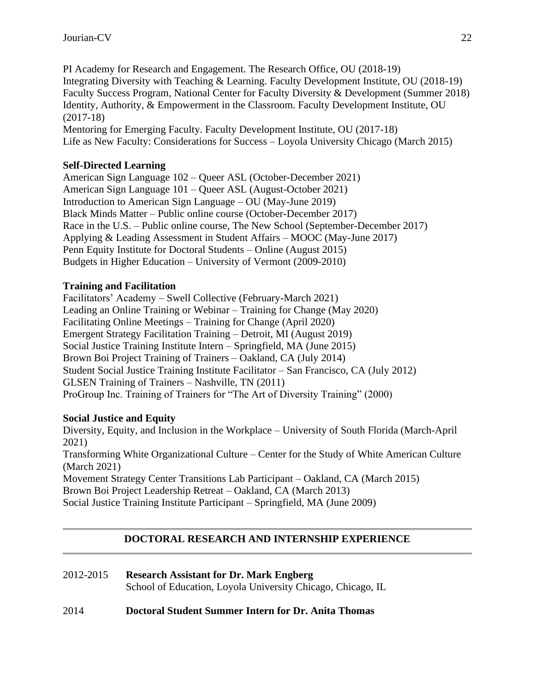PI Academy for Research and Engagement. The Research Office, OU (2018-19) Integrating Diversity with Teaching & Learning. Faculty Development Institute, OU (2018-19) Faculty Success Program, National Center for Faculty Diversity & Development (Summer 2018) Identity, Authority, & Empowerment in the Classroom. Faculty Development Institute, OU (2017-18)

Mentoring for Emerging Faculty. Faculty Development Institute, OU (2017-18) Life as New Faculty: Considerations for Success – Loyola University Chicago (March 2015)

### **Self-Directed Learning**

American Sign Language 102 – Queer ASL (October-December 2021) American Sign Language 101 – Queer ASL (August-October 2021) Introduction to American Sign Language – OU (May-June 2019) Black Minds Matter – Public online course (October-December 2017) Race in the U.S. – Public online course, The New School (September-December 2017) Applying & Leading Assessment in Student Affairs – MOOC (May-June 2017) Penn Equity Institute for Doctoral Students – Online (August 2015) Budgets in Higher Education – University of Vermont (2009-2010)

### **Training and Facilitation**

Facilitators' Academy – Swell Collective (February-March 2021) Leading an Online Training or Webinar – Training for Change (May 2020) Facilitating Online Meetings – Training for Change (April 2020) Emergent Strategy Facilitation Training – Detroit, MI (August 2019) Social Justice Training Institute Intern – Springfield, MA (June 2015) Brown Boi Project Training of Trainers – Oakland, CA (July 2014) Student Social Justice Training Institute Facilitator – San Francisco, CA (July 2012) GLSEN Training of Trainers – Nashville, TN (2011) ProGroup Inc. Training of Trainers for "The Art of Diversity Training" (2000)

### **Social Justice and Equity**

Diversity, Equity, and Inclusion in the Workplace – University of South Florida (March-April 2021) Transforming White Organizational Culture – Center for the Study of White American Culture (March 2021) Movement Strategy Center Transitions Lab Participant – Oakland, CA (March 2015) Brown Boi Project Leadership Retreat – Oakland, CA (March 2013) Social Justice Training Institute Participant – Springfield, MA (June 2009)

### **DOCTORAL RESEARCH AND INTERNSHIP EXPERIENCE**

| 2012-2015 | <b>Research Assistant for Dr. Mark Engberg</b>              |
|-----------|-------------------------------------------------------------|
|           | School of Education, Loyola University Chicago, Chicago, IL |

### 2014 **Doctoral Student Summer Intern for Dr. Anita Thomas**